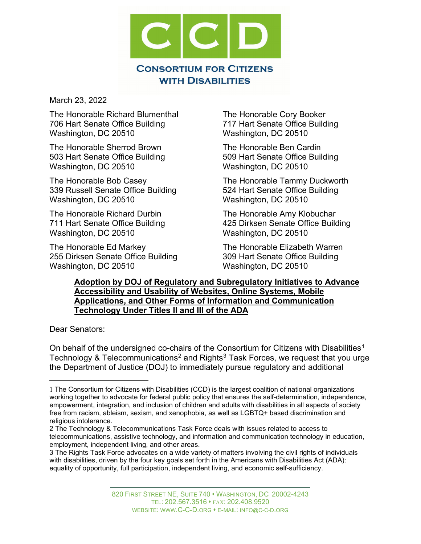

March 23, 2022

The Honorable Richard Blumenthal The Honorable Cory Booker 706 Hart Senate Office Building 717 Hart Senate Office Building Washington, DC 20510 Washington, DC 20510

The Honorable Sherrod Brown The Honorable Ben Cardin 503 Hart Senate Office Building 509 Hart Senate Office Building Washington, DC 20510 Washington, DC 20510

The Honorable Bob Casey The Honorable Tammy Duckworth 339 Russell Senate Office Building 524 Hart Senate Office Building Washington, DC 20510 Washington, DC 20510

The Honorable Richard Durbin The Honorable Amy Klobuchar Washington, DC 20510 Washington, DC 20510

The Honorable Ed Markey The Honorable Elizabeth Warren 255 Dirksen Senate Office Building 309 Hart Senate Office Building Washington, DC 20510 Washington, DC 20510

711 Hart Senate Office Building 425 Dirksen Senate Office Building

## **Adoption by DOJ of Regulatory and Subregulatory Initiatives to Advance Accessibility and Usability of Websites, Online Systems, Mobile Applications, and Other Forms of Information and Communication Technology Under Titles II and III of the ADA**

Dear Senators:

On behalf of the undersigned co-chairs of the Consortium for Citizens with Disabilities<sup>[1](#page-0-0)</sup> Technology & Telecommunications<sup>[2](#page-0-1)</sup> and Rights<sup>[3](#page-0-2)</sup> Task Forces, we request that you urge the Department of Justice (DOJ) to immediately pursue regulatory and additional

<span id="page-0-0"></span><sup>1</sup> The Consortium for Citizens with Disabilities (CCD) is the largest coalition of national organizations working together to advocate for federal public policy that ensures the self-determination, independence, empowerment, integration, and inclusion of children and adults with disabilities in all aspects of society free from racism, ableism, sexism, and xenophobia, as well as LGBTQ+ based discrimination and religious intolerance.

<span id="page-0-1"></span><sup>2</sup> The Technology & Telecommunications Task Force deals with issues related to access to telecommunications, assistive technology, and information and communication technology in education, employment, independent living, and other areas.

<span id="page-0-2"></span><sup>3</sup> The Rights Task Force advocates on a wide variety of matters involving the civil rights of individuals with disabilities, driven by the four key goals set forth in the Americans with Disabilities Act (ADA): equality of opportunity, full participation, independent living, and economic self-sufficiency.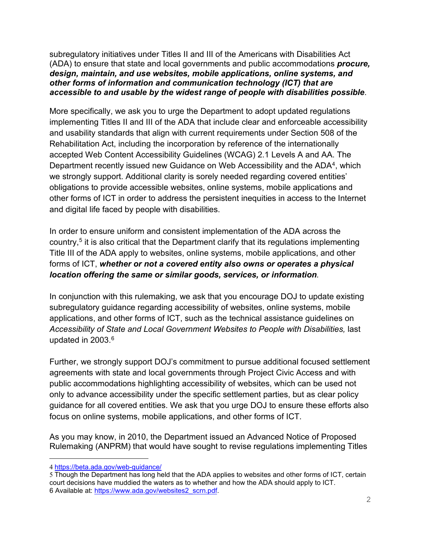subregulatory initiatives under Titles II and III of the Americans with Disabilities Act (ADA) to ensure that state and local governments and public accommodations *procure, design, maintain, and use websites, mobile applications, online systems, and other forms of information and communication technology (ICT) that are accessible to and usable by the widest range of people with disabilities possible*.

More specifically, we ask you to urge the Department to adopt updated regulations implementing Titles II and III of the ADA that include clear and enforceable accessibility and usability standards that align with current requirements under Section 508 of the Rehabilitation Act, including the incorporation by reference of the internationally accepted Web Content Accessibility Guidelines (WCAG) 2.1 Levels A and AA. The Department recently issued new Guidance on Web Accessibility and the ADA[4,](#page-1-0) which we strongly support. Additional clarity is sorely needed regarding covered entities' obligations to provide accessible websites, online systems, mobile applications and other forms of ICT in order to address the persistent inequities in access to the Internet and digital life faced by people with disabilities.

In order to ensure uniform and consistent implementation of the ADA across the country, [5](#page-1-1) it is also critical that the Department clarify that its regulations implementing Title III of the ADA apply to websites, online systems, mobile applications, and other forms of ICT, *whether or not a covered entity also owns or operates a physical location offering the same or similar goods, services, or information.*

In conjunction with this rulemaking, we ask that you encourage DOJ to update existing subregulatory guidance regarding accessibility of websites, online systems, mobile applications, and other forms of ICT, such as the technical assistance guidelines on *Accessibility of State and Local Government Websites to People with Disabilities,* last updated in 2003. [6](#page-1-2)

Further, we strongly support DOJ's commitment to pursue additional focused settlement agreements with state and local governments through Project Civic Access and with public accommodations highlighting accessibility of websites, which can be used not only to advance accessibility under the specific settlement parties, but as clear policy guidance for all covered entities. We ask that you urge DOJ to ensure these efforts also focus on online systems, mobile applications, and other forms of ICT.

As you may know, in 2010, the Department issued an Advanced Notice of Proposed Rulemaking (ANPRM) that would have sought to revise regulations implementing Titles

<span id="page-1-0"></span><sup>4</sup> <https://beta.ada.gov/web-guidance/>

<span id="page-1-2"></span><span id="page-1-1"></span><sup>5</sup> Though the Department has long held that the ADA applies to websites and other forms of ICT, certain court decisions have muddied the waters as to whether and how the ADA should apply to ICT. 6 Available at: [https://www.ada.gov/websites2\\_scrn.pdf.](https://www.ada.gov/websites2_scrn.pdf)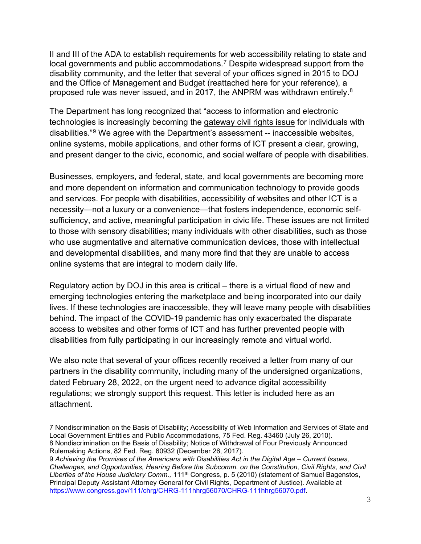II and III of the ADA to establish requirements for web accessibility relating to state and local governments and public accommodations.<sup>[7](#page-2-0)</sup> Despite widespread support from the disability community, and the letter that several of your offices signed in 2015 to DOJ and the Office of Management and Budget (reattached here for your reference), a proposed rule was never issued, and in 2017, the ANPRM was withdrawn entirely. $^8$  $^8$ 

The Department has long recognized that "access to information and electronic technologies is increasingly becoming the gateway civil rights issue for individuals with disabilities."[9](#page-2-2) We agree with the Department's assessment -- inaccessible websites, online systems, mobile applications, and other forms of ICT present a clear, growing, and present danger to the civic, economic, and social welfare of people with disabilities.

Businesses, employers, and federal, state, and local governments are becoming more and more dependent on information and communication technology to provide goods and services. For people with disabilities, accessibility of websites and other ICT is a necessity—not a luxury or a convenience—that fosters independence, economic selfsufficiency, and active, meaningful participation in civic life. These issues are not limited to those with sensory disabilities; many individuals with other disabilities, such as those who use augmentative and alternative communication devices, those with intellectual and developmental disabilities, and many more find that they are unable to access online systems that are integral to modern daily life.

Regulatory action by DOJ in this area is critical – there is a virtual flood of new and emerging technologies entering the marketplace and being incorporated into our daily lives. If these technologies are inaccessible, they will leave many people with disabilities behind. The impact of the COVID-19 pandemic has only exacerbated the disparate access to websites and other forms of ICT and has further prevented people with disabilities from fully participating in our increasingly remote and virtual world.

We also note that several of your offices recently received a letter from many of our partners in the disability community, including many of the undersigned organizations, dated February 28, 2022, on the urgent need to advance digital accessibility regulations; we strongly support this request. This letter is included here as an attachment.

<span id="page-2-0"></span><sup>7</sup> Nondiscrimination on the Basis of Disability; Accessibility of Web Information and Services of State and Local Government Entities and Public Accommodations, 75 Fed. Reg. 43460 (July 26, 2010). 8 Nondiscrimination on the Basis of Disability; Notice of Withdrawal of Four Previously Announced Rulemaking Actions, 82 Fed. Reg. 60932 (December 26, 2017).

<span id="page-2-2"></span><span id="page-2-1"></span><sup>9</sup> *Achieving the Promises of the Americans with Disabilities Act in the Digital Age – Current Issues, Challenges, and Opportunities, Hearing Before the Subcomm. on the Constitution, Civil Rights, and Civil Liberties of the House Judiciary Comm.,* 111th Congress, p. 5 (2010) (statement of Samuel Bagenstos, Principal Deputy Assistant Attorney General for Civil Rights, Department of Justice). Available at [https://www.congress.gov/111/chrg/CHRG-111hhrg56070/CHRG-111hhrg56070.pdf.](https://www.congress.gov/111/chrg/CHRG-111hhrg56070/CHRG-111hhrg56070.pdf)